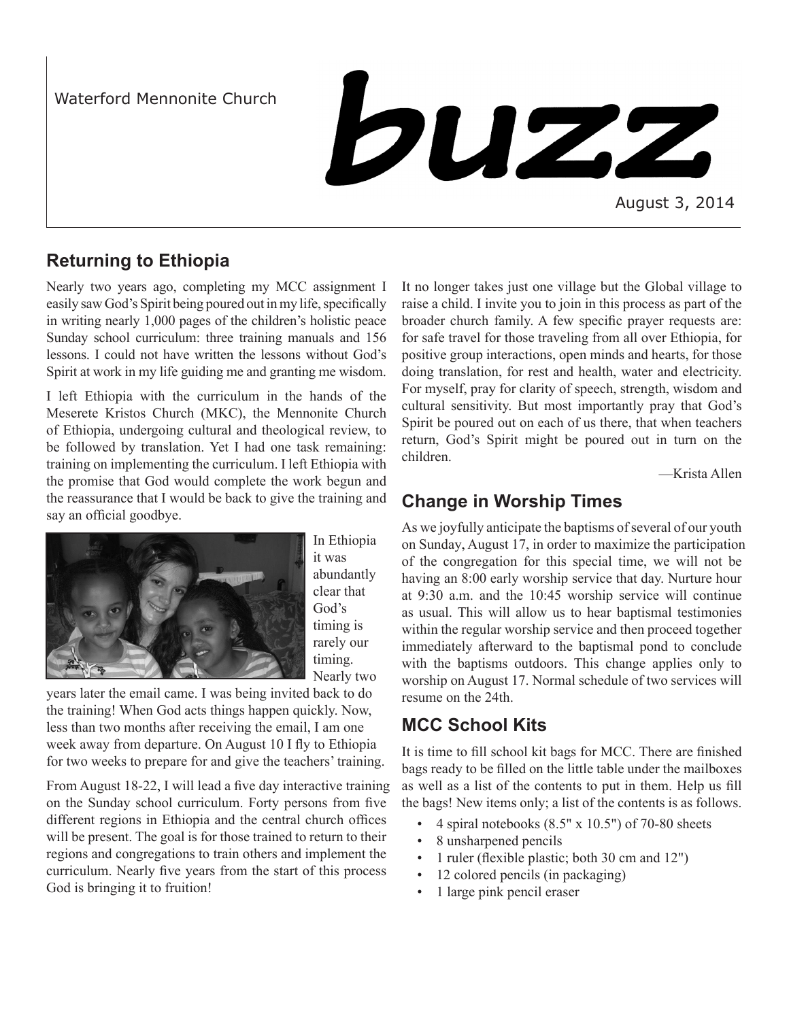Waterford Mennonite Church

**buzz** 

August 3, 2014

# **Returning to Ethiopia**

Nearly two years ago, completing my MCC assignment I easily saw God's Spirit being poured out in my life, specifically in writing nearly 1,000 pages of the children's holistic peace Sunday school curriculum: three training manuals and 156 lessons. I could not have written the lessons without God's Spirit at work in my life guiding me and granting me wisdom.

I left Ethiopia with the curriculum in the hands of the Meserete Kristos Church (MKC), the Mennonite Church of Ethiopia, undergoing cultural and theological review, to be followed by translation. Yet I had one task remaining: training on implementing the curriculum. I left Ethiopia with the promise that God would complete the work begun and the reassurance that I would be back to give the training and say an official goodbye.



In Ethiopia it was abundantly clear that God's timing is rarely our timing. Nearly two

years later the email came. I was being invited back to do the training! When God acts things happen quickly. Now, less than two months after receiving the email, I am one week away from departure. On August 10 I fly to Ethiopia for two weeks to prepare for and give the teachers' training.

From August 18-22, I will lead a five day interactive training on the Sunday school curriculum. Forty persons from five different regions in Ethiopia and the central church offices will be present. The goal is for those trained to return to their regions and congregations to train others and implement the curriculum. Nearly five years from the start of this process God is bringing it to fruition!

It no longer takes just one village but the Global village to raise a child. I invite you to join in this process as part of the broader church family. A few specific prayer requests are: for safe travel for those traveling from all over Ethiopia, for positive group interactions, open minds and hearts, for those doing translation, for rest and health, water and electricity. For myself, pray for clarity of speech, strength, wisdom and cultural sensitivity. But most importantly pray that God's Spirit be poured out on each of us there, that when teachers return, God's Spirit might be poured out in turn on the children.

—Krista Allen

# **Change in Worship Times**

As we joyfully anticipate the baptisms of several of our youth on Sunday, August 17, in order to maximize the participation of the congregation for this special time, we will not be having an 8:00 early worship service that day. Nurture hour at 9:30 a.m. and the 10:45 worship service will continue as usual. This will allow us to hear baptismal testimonies within the regular worship service and then proceed together immediately afterward to the baptismal pond to conclude with the baptisms outdoors. This change applies only to worship on August 17. Normal schedule of two services will resume on the 24th.

## **MCC School Kits**

It is time to fill school kit bags for MCC. There are finished bags ready to be filled on the little table under the mailboxes as well as a list of the contents to put in them. Help us fill the bags! New items only; a list of the contents is as follows.

- 4 spiral notebooks  $(8.5" \times 10.5")$  of 70-80 sheets
- 8 unsharpened pencils
- 1 ruler (flexible plastic; both 30 cm and 12")
- 12 colored pencils (in packaging)
- 1 large pink pencil eraser